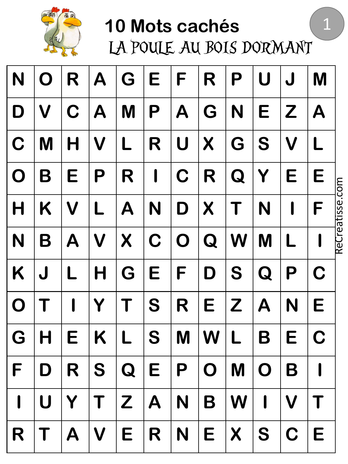

LA POULE AU BOIS DORMANT

1

| N            | Ö            | R                         | A                         | G          | Е           | F                         | R                | Р                   | U                         |                           | M           |                 |
|--------------|--------------|---------------------------|---------------------------|------------|-------------|---------------------------|------------------|---------------------|---------------------------|---------------------------|-------------|-----------------|
| D            | V            | C                         | A                         | M          | P           | $\boldsymbol{\mathsf{A}}$ | G                | N                   | E                         | Z                         | A           |                 |
| $\mathbf C$  | M            |                           | $\boldsymbol{\mathsf{V}}$ | L          | R           | U                         | $\boldsymbol{X}$ | G                   | S                         | $\boldsymbol{\mathsf{V}}$ | L           |                 |
| $\mathbf O$  | B            | Е                         | P                         | R          | l           | $\mathbf C$               | R                | Q                   | Y                         | Е                         | Е           |                 |
| $\mathsf H$  | Κ            | $\boldsymbol{\mathsf{V}}$ |                           | Α          | N           | D                         | X                | Τ                   | N                         |                           | F           | ReCreatisse.com |
| N            | B            | A                         | $\boldsymbol{\mathsf{V}}$ | X          | C           | $\mathbf O$               | Q                | W                   | M                         |                           |             |                 |
| K            | J            |                           | H                         | G          | E           | F                         | D                | S                   | Q                         | P                         | C           |                 |
| $\mathbf O$  |              |                           | Y                         |            | S           | R                         | E                | Z                   | $\boldsymbol{\mathsf{A}}$ | N                         | E           |                 |
| G            |              | E                         | K                         | L          | S           | M                         | W                |                     | Β                         | Е                         | $\mathbf C$ |                 |
| $\mathsf F$  | D            |                           |                           | $R$ SQEPOM |             |                           |                  |                     | O                         | B                         |             |                 |
| $\mathbf{I}$ | $\mathsf{U}$ | Y                         | $\mathsf T$               |            | $Z$ $A$ $N$ |                           | B                | $\mathsf{W}$        | I                         | $\mathbf V$               |             |                 |
| R            | T            | $\mathsf{A}$              | V                         | E          | R N E       |                           |                  | $ \bm{\mathsf{X}} $ | S                         | $\mathbf C$               | E           |                 |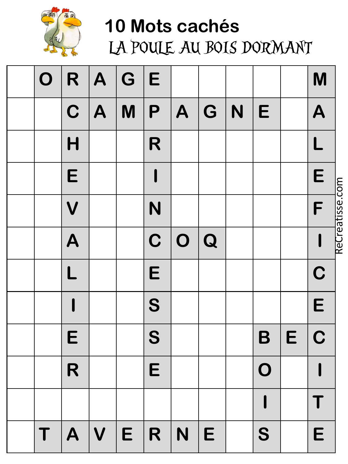

LA POULE AU BOIS DORMANT

| $\mathbf O$ | R                       | A            | G | E           |              |                         |   |             |   | M                    |
|-------------|-------------------------|--------------|---|-------------|--------------|-------------------------|---|-------------|---|----------------------|
|             | $\mathbf C$             | $\mathsf{A}$ | M | P           | $\mathsf{A}$ | $\overline{\mathsf{G}}$ | N | E           |   | A                    |
|             | H                       |              |   | R           |              |                         |   |             |   | L                    |
|             | E                       |              |   |             |              |                         |   |             |   | E<br>$\frac{1}{2}$   |
|             | $\overline{\mathsf{V}}$ |              |   | N           |              |                         |   |             |   | <u>postical</u><br>F |
|             | A                       |              |   | $\mathbf C$ | O            | $\overline{Q}$          |   |             |   | ब्ब                  |
|             | L                       |              |   | E           |              |                         |   |             |   | $\mathbf C$          |
|             |                         |              |   | S           |              |                         |   |             |   | E                    |
|             | E                       |              |   | S           |              |                         |   | B           | E | $\mathbf C$          |
|             | R                       |              |   | E           |              |                         |   | $\mathbf O$ |   |                      |
|             |                         |              |   |             |              |                         |   |             |   |                      |
| T           | A                       | V            | E | R           | N            | E                       |   | S           |   | E                    |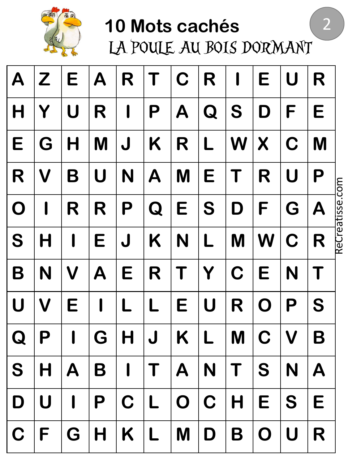

LA POULE AU BOIS DORMANT

2

| $\boldsymbol{\mathsf{A}}$ | $\boldsymbol{Z}$          | E            | $\boldsymbol{\mathsf{A}}$ | R            |             | C              | R           | I              | Е           | U | R                         |                 |
|---------------------------|---------------------------|--------------|---------------------------|--------------|-------------|----------------|-------------|----------------|-------------|---|---------------------------|-----------------|
| $\mathsf{H}$              |                           | U            | R                         |              | P           | A              | Q           | S              | D           | F | E                         |                 |
| E                         | G                         | H            | M                         | J            | K           | R              | L           | W              | X           | C | M                         |                 |
| R                         | V                         | B            | U                         | N            | A           | M              | Е           |                | R           | U | P                         |                 |
| $\mathbf O$               | I                         | R            | R                         | P            | Q           | E              | S           | D              | F           | G | $\boldsymbol{\mathsf{A}}$ | ReCreatisse.com |
| S                         |                           |              | Е                         | J            | K           | N              | L           | M              | W           | C | R                         |                 |
| B                         | N                         | V            | $\boldsymbol{\mathsf{A}}$ | E            | R           |                | Y           | C              | E           | N |                           |                 |
| $\boldsymbol{\mathsf{U}}$ | $\boldsymbol{\mathsf{V}}$ | E            |                           |              |             | Е              | U           | R              | O           | P | S                         |                 |
| Q                         | P                         | I            | G                         | Η            | J           | Κ              |             | M              | C           | V | B                         |                 |
| S                         |                           |              | H   A   B   I             |              | $T$ $A$ $N$ |                |             | $ \mathsf{T} $ | S           | N | $\mathbf{A}$              |                 |
| D                         | $\mathbf U$               | $\mathbf{I}$ | P                         | $\mathbf C$  | L           | $\overline{O}$ | $\mathbf C$ | H              | E           | S | E                         |                 |
| $\mathbf C$               | F                         | G            | H                         | $\mathsf{K}$ | L           | M              | D           | B              | $\mathbf O$ | U | R                         |                 |